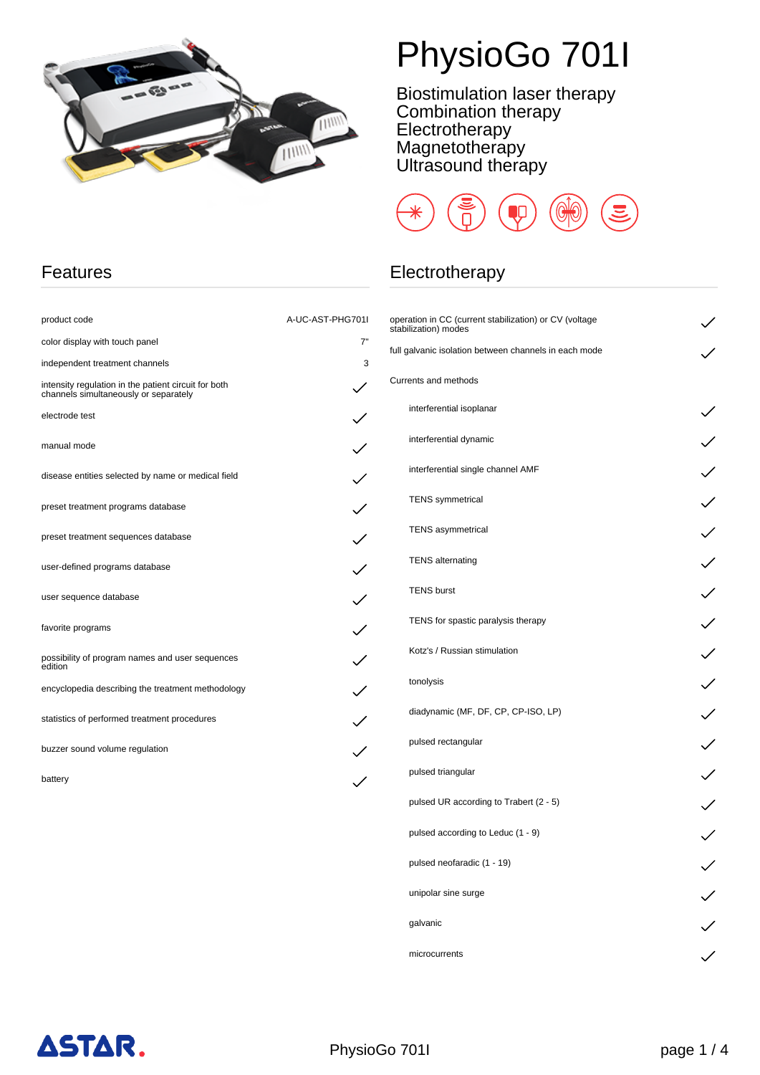

# PhysioGo 701I

Biostimulation laser therapy Combination therapy Electrotherapy **Magnetotherapy** Ultrasound therapy



### Electrotherapy

| operation in CC (current stabilization) or CV (voltage<br>stabilization) modes |  |
|--------------------------------------------------------------------------------|--|
| full galvanic isolation between channels in each mode                          |  |
| Currents and methods                                                           |  |
| interferential isoplanar                                                       |  |
| interferential dynamic                                                         |  |
| interferential single channel AMF                                              |  |
| <b>TENS</b> symmetrical                                                        |  |
| <b>TENS</b> asymmetrical                                                       |  |
| <b>TENS</b> alternating                                                        |  |
| <b>TENS burst</b>                                                              |  |
| TENS for spastic paralysis therapy                                             |  |
| Kotz's / Russian stimulation                                                   |  |
| tonolysis                                                                      |  |
| diadynamic (MF, DF, CP, CP-ISO, LP)                                            |  |
| pulsed rectangular                                                             |  |
| pulsed triangular                                                              |  |
| pulsed UR according to Trabert (2 - 5)                                         |  |
| pulsed according to Leduc (1 - 9)                                              |  |
| pulsed neofaradic (1 - 19)                                                     |  |
| unipolar sine surge                                                            |  |
| galvanic                                                                       |  |
| microcurrents                                                                  |  |

#### Features

| product code                                                                                  | A-UC-AST-PHG701I |
|-----------------------------------------------------------------------------------------------|------------------|
| color display with touch panel                                                                | 7"               |
| independent treatment channels                                                                | 3                |
| intensity regulation in the patient circuit for both<br>channels simultaneously or separately |                  |
| electrode test                                                                                |                  |
| manual mode                                                                                   |                  |
| disease entities selected by name or medical field                                            |                  |
| preset treatment programs database                                                            |                  |
| preset treatment sequences database                                                           |                  |
| user-defined programs database                                                                |                  |
| user sequence database                                                                        |                  |
| favorite programs                                                                             |                  |
| possibility of program names and user sequences<br>edition                                    |                  |
| encyclopedia describing the treatment methodology                                             |                  |
| statistics of performed treatment procedures                                                  |                  |
| buzzer sound volume regulation                                                                |                  |
| battery                                                                                       |                  |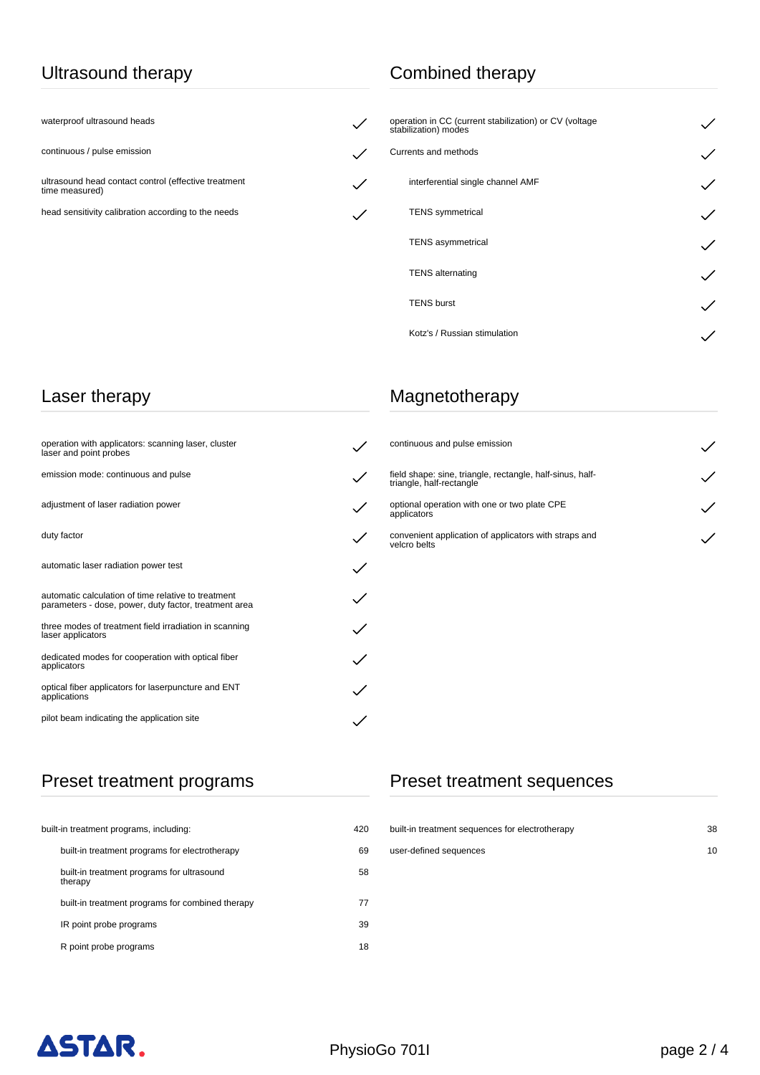#### Ultrasound therapy

waterproof ultrasound heads

continuous / pulse emission

ultrasound head contact control (effective treatment time measured)

head sensitivity calibration according to the needs

## Combined therapy

 $\checkmark$ 

 $\checkmark$ 

 $\checkmark$ 

 $\checkmark$ 

| operation in CC (current stabilization) or CV (voltage<br>stabilization) modes |  |
|--------------------------------------------------------------------------------|--|
| Currents and methods                                                           |  |
| interferential single channel AMF                                              |  |
| <b>TENS</b> symmetrical                                                        |  |
| <b>TENS</b> asymmetrical                                                       |  |
| <b>TENS</b> alternating                                                        |  |
| <b>TENS burst</b>                                                              |  |
| Kotz's / Russian stimulation                                                   |  |

#### Laser therapy

| operation with applicators: scanning laser, cluster<br>laser and point probes                                |  |
|--------------------------------------------------------------------------------------------------------------|--|
| emission mode: continuous and pulse                                                                          |  |
| adjustment of laser radiation power                                                                          |  |
| duty factor                                                                                                  |  |
| automatic laser radiation power test                                                                         |  |
| automatic calculation of time relative to treatment<br>parameters - dose, power, duty factor, treatment area |  |
| three modes of treatment field irradiation in scanning<br>laser applicators                                  |  |
| dedicated modes for cooperation with optical fiber<br>applicators                                            |  |
| optical fiber applicators for laserpuncture and ENT<br>applications                                          |  |
| pilot beam indicating the application site                                                                   |  |

## Magnetotherapy

| continuous and pulse emission                                                         |  |
|---------------------------------------------------------------------------------------|--|
| field shape: sine, triangle, rectangle, half-sinus, half-<br>triangle, half-rectangle |  |
| optional operation with one or two plate CPE<br>applicators                           |  |
| convenient application of applicators with straps and<br>velcro belts                 |  |

## Preset treatment programs

| built-in treatment programs, including:               | 420 |
|-------------------------------------------------------|-----|
| built-in treatment programs for electrotherapy        | 69  |
| built-in treatment programs for ultrasound<br>therapy | 58  |
| built-in treatment programs for combined therapy      | 77  |
| IR point probe programs                               | 39  |
| R point probe programs                                | 18  |

## Preset treatment sequences

| built-in treatment sequences for electrotherapy | 38 |
|-------------------------------------------------|----|
| user-defined sequences                          | 10 |
|                                                 |    |
|                                                 |    |
|                                                 |    |
|                                                 |    |

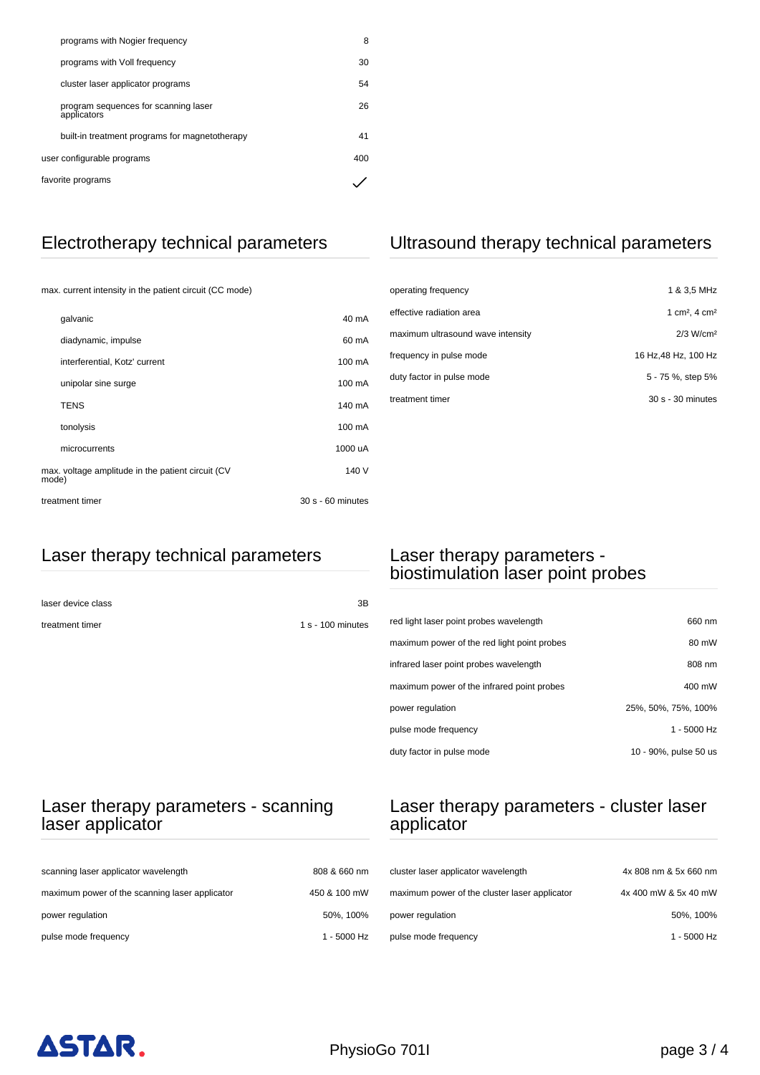| programs with Nogier frequency                      | 8   |
|-----------------------------------------------------|-----|
| programs with Voll frequency                        | 30  |
| cluster laser applicator programs                   | 54  |
| program sequences for scanning laser<br>applicators | 26  |
| built-in treatment programs for magnetotherapy      | 41  |
| user configurable programs                          | 400 |
| favorite programs                                   |     |

## Electrotherapy technical parameters

max. current intensity in the patient circuit (CC mode)

| galvanic                                                   | 40 mA             |
|------------------------------------------------------------|-------------------|
| diadynamic, impulse                                        | 60 mA             |
| interferential, Kotz' current                              | 100 mA            |
| unipolar sine surge                                        | 100 mA            |
| <b>TENS</b>                                                | 140 mA            |
| tonolysis                                                  | 100 mA            |
| microcurrents                                              | 1000 uA           |
| max. voltage amplitude in the patient circuit (CV<br>mode) | 140 V             |
| treatment timer                                            | 30 s - 60 minutes |

#### Ultrasound therapy technical parameters

| operating frequency               | 1 & 3,5 MHz                           |
|-----------------------------------|---------------------------------------|
| effective radiation area          | 1 cm <sup>2</sup> , 4 cm <sup>2</sup> |
| maximum ultrasound wave intensity | 2/3 W/cm <sup>2</sup>                 |
| frequency in pulse mode           | 16 Hz, 48 Hz, 100 Hz                  |
| duty factor in pulse mode         | 5 - 75 %, step 5%                     |
| treatment timer                   | 30 s - 30 minutes                     |

### Laser therapy technical parameters

| laser device class | 3B                  |
|--------------------|---------------------|
| treatment timer    | $1 s - 100$ minutes |

#### Laser therapy parameters biostimulation laser point probes

| red light laser point probes wavelength     | 660 nm                |
|---------------------------------------------|-----------------------|
| maximum power of the red light point probes | 80 mW                 |
| infrared laser point probes wavelength      | 808 nm                |
| maximum power of the infrared point probes  | 400 mW                |
| power regulation                            | 25%, 50%, 75%, 100%   |
| pulse mode frequency                        | $1 - 5000$ Hz         |
| duty factor in pulse mode                   | 10 - 90%, pulse 50 us |

#### Laser therapy parameters - scanning laser applicator

| scanning laser applicator wavelength           | 808 & 660 nm |
|------------------------------------------------|--------------|
| maximum power of the scanning laser applicator | 450 & 100 mW |
| power regulation                               | 50%, 100%    |
| pulse mode frequency                           | 1 - 5000 Hz  |

#### Laser therapy parameters - cluster laser applicator

| cluster laser applicator wavelength           | 4x 808 nm & 5x 660 nm |
|-----------------------------------------------|-----------------------|
| maximum power of the cluster laser applicator | 4x 400 mW & 5x 40 mW  |
| power regulation                              | 50%, 100%             |
| pulse mode frequency                          | 1 - 5000 Hz           |